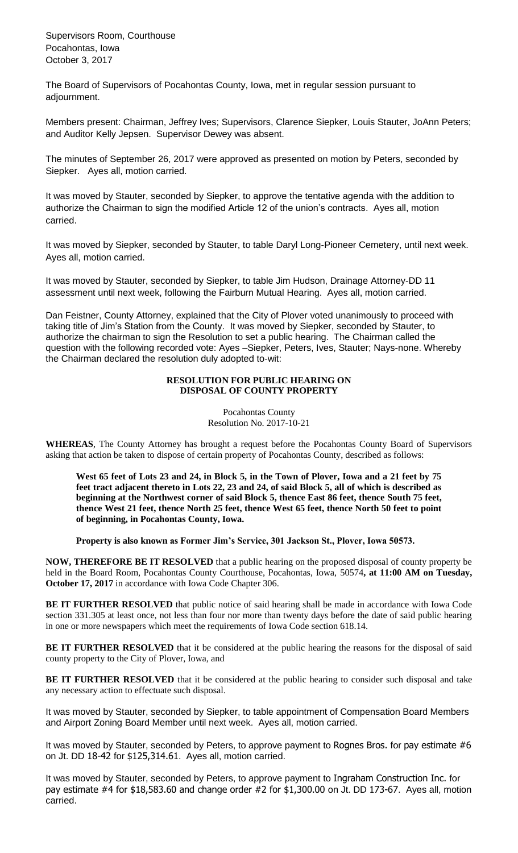Supervisors Room, Courthouse Pocahontas, Iowa October 3, 2017

The Board of Supervisors of Pocahontas County, Iowa, met in regular session pursuant to adjournment.

Members present: Chairman, Jeffrey Ives; Supervisors, Clarence Siepker, Louis Stauter, JoAnn Peters; and Auditor Kelly Jepsen. Supervisor Dewey was absent.

The minutes of September 26, 2017 were approved as presented on motion by Peters, seconded by Siepker. Ayes all, motion carried.

It was moved by Stauter, seconded by Siepker, to approve the tentative agenda with the addition to authorize the Chairman to sign the modified Article 12 of the union's contracts. Ayes all, motion carried.

It was moved by Siepker, seconded by Stauter, to table Daryl Long-Pioneer Cemetery, until next week. Ayes all, motion carried.

It was moved by Stauter, seconded by Siepker, to table Jim Hudson, Drainage Attorney-DD 11 assessment until next week, following the Fairburn Mutual Hearing. Ayes all, motion carried.

Dan Feistner, County Attorney, explained that the City of Plover voted unanimously to proceed with taking title of Jim's Station from the County. It was moved by Siepker, seconded by Stauter, to authorize the chairman to sign the Resolution to set a public hearing. The Chairman called the question with the following recorded vote: Ayes –Siepker, Peters, Ives, Stauter; Nays-none. Whereby the Chairman declared the resolution duly adopted to-wit:

## **RESOLUTION FOR PUBLIC HEARING ON DISPOSAL OF COUNTY PROPERTY**

Pocahontas County Resolution No. 2017-10-21

**WHEREAS**, The County Attorney has brought a request before the Pocahontas County Board of Supervisors asking that action be taken to dispose of certain property of Pocahontas County, described as follows:

**West 65 feet of Lots 23 and 24, in Block 5, in the Town of Plover, Iowa and a 21 feet by 75 feet tract adjacent thereto in Lots 22, 23 and 24, of said Block 5, all of which is described as beginning at the Northwest corner of said Block 5, thence East 86 feet, thence South 75 feet, thence West 21 feet, thence North 25 feet, thence West 65 feet, thence North 50 feet to point of beginning, in Pocahontas County, Iowa.**

**Property is also known as Former Jim's Service, 301 Jackson St., Plover, Iowa 50573.**

**NOW, THEREFORE BE IT RESOLVED** that a public hearing on the proposed disposal of county property be held in the Board Room, Pocahontas County Courthouse, Pocahontas, Iowa, 50574**, at 11:00 AM on Tuesday, October 17, 2017** in accordance with Iowa Code Chapter 306.

**BE IT FURTHER RESOLVED** that public notice of said hearing shall be made in accordance with Iowa Code section 331.305 at least once, not less than four nor more than twenty days before the date of said public hearing in one or more newspapers which meet the requirements of Iowa Code section 618.14.

BE IT FURTHER RESOLVED that it be considered at the public hearing the reasons for the disposal of said county property to the City of Plover, Iowa, and

BE IT FURTHER RESOLVED that it be considered at the public hearing to consider such disposal and take any necessary action to effectuate such disposal.

It was moved by Stauter, seconded by Siepker, to table appointment of Compensation Board Members and Airport Zoning Board Member until next week. Ayes all, motion carried.

It was moved by Stauter, seconded by Peters, to approve payment to Rognes Bros. for pay estimate #6 on Jt. DD 18-42 for \$125,314.61. Ayes all, motion carried.

It was moved by Stauter, seconded by Peters, to approve payment to Ingraham Construction Inc. for pay estimate #4 for \$18,583.60 and change order #2 for \$1,300.00 on Jt. DD 173-67. Ayes all, motion carried.